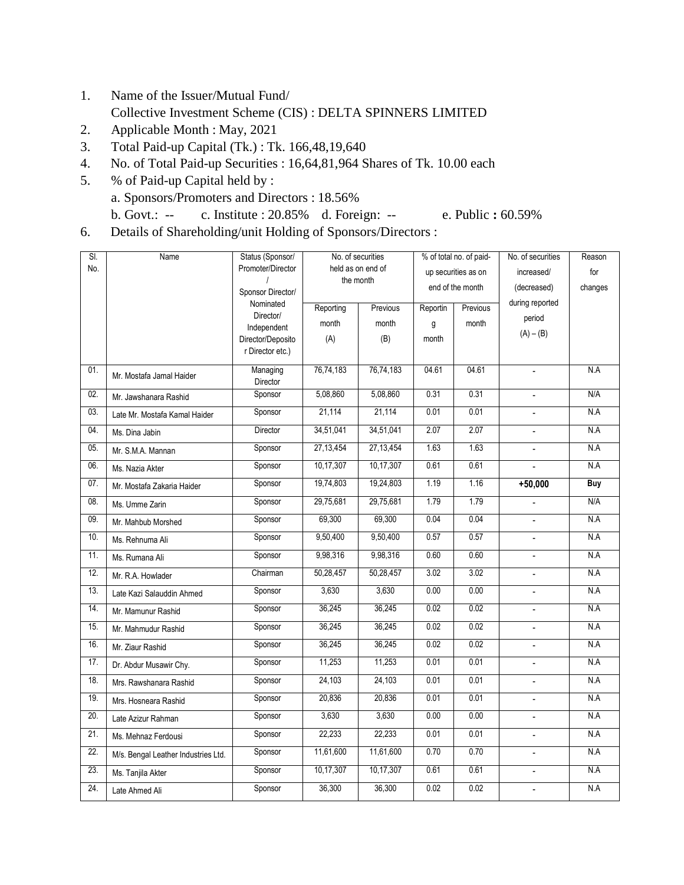- 1. Name of the Issuer/Mutual Fund/ Collective Investment Scheme (CIS) : DELTA SPINNERS LIMITED
- 2. Applicable Month : May, 2021
- 3. Total Paid-up Capital (Tk.) : Tk. 166,48,19,640
- 4. No. of Total Paid-up Securities : 16,64,81,964 Shares of Tk. 10.00 each
- 5. % of Paid-up Capital held by : a. Sponsors/Promoters and Directors : 18.56% b. Govt.: -- c. Institute : 20.85% d. Foreign: -- e. Public **:** 60.59%
- 6. Details of Shareholding/unit Holding of Sponsors/Directors :

| SI. | Name                                | Status (Sponsor/     | No. of securities |           | % of total no. of paid- |          | No. of securities        | Reason  |
|-----|-------------------------------------|----------------------|-------------------|-----------|-------------------------|----------|--------------------------|---------|
| No. |                                     | Promoter/Director    | held as on end of |           | up securities as on     |          | increased/               | for     |
|     |                                     | Sponsor Director/    | the month         |           | end of the month        |          | (decreased)              | changes |
|     |                                     | Nominated            |                   |           |                         |          | during reported          |         |
|     |                                     | Director/            | Reporting         | Previous  | Reportin                | Previous | period                   |         |
|     |                                     | Independent          | month             | month     | g                       | month    |                          |         |
|     |                                     | Director/Deposito    | (A)               | (B)       | month                   |          | $(A) - (B)$              |         |
|     |                                     | r Director etc.)     |                   |           |                         |          |                          |         |
| 01. | Mr. Mostafa Jamal Haider            | Managing<br>Director | 76,74,183         | 76,74,183 | 04.61                   | 04.61    | $\overline{\phantom{a}}$ | N.A     |
| 02. | Mr. Jawshanara Rashid               | Sponsor              | 5,08,860          | 5,08,860  | 0.31                    | 0.31     |                          | N/A     |
| 03. | Late Mr. Mostafa Kamal Haider       | Sponsor              | 21,114            | 21,114    | 0.01                    | 0.01     | $\blacksquare$           | N.A     |
| 04. | Ms. Dina Jabin                      | Director             | 34,51,041         | 34,51,041 | 2.07                    | 2.07     | $\overline{a}$           | N.A     |
| 05. | Mr. S.M.A. Mannan                   | Sponsor              | 27, 13, 454       | 27,13,454 | 1.63                    | 1.63     | $\blacksquare$           | N.A     |
| 06. | Ms. Nazia Akter                     | Sponsor              | 10,17,307         | 10,17,307 | 0.61                    | 0.61     | $\overline{a}$           | N.A     |
| 07. | Mr. Mostafa Zakaria Haider          | Sponsor              | 19,74,803         | 19,24,803 | 1.19                    | 1.16     | $+50,000$                | Buy     |
| 08. | Ms. Umme Zarin                      | Sponsor              | 29,75,681         | 29,75,681 | 1.79                    | 1.79     | $\frac{1}{2}$            | N/A     |
| 09. | Mr. Mahbub Morshed                  | Sponsor              | 69,300            | 69,300    | 0.04                    | 0.04     |                          | N.A     |
| 10. | Ms. Rehnuma Ali                     | Sponsor              | 9,50,400          | 9,50,400  | 0.57                    | 0.57     | $\blacksquare$           | N.A     |
| 11. | Ms. Rumana Ali                      | Sponsor              | 9,98,316          | 9,98,316  | 0.60                    | 0.60     | L,                       | N.A     |
| 12. | Mr. R.A. Howlader                   | Chairman             | 50,28,457         | 50,28,457 | 3.02                    | 3.02     | $\blacksquare$           | N.A     |
| 13. | Late Kazi Salauddin Ahmed           | Sponsor              | 3,630             | 3,630     | 0.00                    | 0.00     | $\overline{\phantom{a}}$ | N.A     |
| 14. | Mr. Mamunur Rashid                  | Sponsor              | 36,245            | 36,245    | 0.02                    | 0.02     |                          | N.A     |
| 15. | Mr. Mahmudur Rashid                 | Sponsor              | 36,245            | 36,245    | 0.02                    | 0.02     | ÷.                       | N.A     |
| 16. | Mr. Ziaur Rashid                    | Sponsor              | 36,245            | 36,245    | 0.02                    | 0.02     |                          | N.A     |
| 17. | Dr. Abdur Musawir Chy.              | Sponsor              | 11,253            | 11,253    | 0.01                    | 0.01     | ÷.                       | N.A     |
| 18. | Mrs. Rawshanara Rashid              | Sponsor              | 24,103            | 24,103    | 0.01                    | 0.01     | $\overline{a}$           | N.A     |
| 19. | Mrs. Hosneara Rashid                | Sponsor              | 20,836            | 20,836    | 0.01                    | 0.01     |                          | N.A     |
| 20. | Late Azizur Rahman                  | Sponsor              | 3,630             | 3,630     | 0.00                    | 0.00     | $\overline{\phantom{0}}$ | N.A     |
| 21. | Ms. Mehnaz Ferdousi                 | Sponsor              | 22,233            | 22,233    | 0.01                    | 0.01     | $\overline{a}$           | N.A     |
| 22. | M/s. Bengal Leather Industries Ltd. | Sponsor              | 11,61,600         | 11,61,600 | 0.70                    | 0.70     | $\overline{a}$           | N.A     |
| 23. | Ms. Tanjila Akter                   | Sponsor              | 10,17,307         | 10,17,307 | 0.61                    | 0.61     | $\overline{a}$           | N.A     |
| 24. | Late Ahmed Ali                      | Sponsor              | 36,300            | 36,300    | 0.02                    | 0.02     | $\blacksquare$           | N.A     |